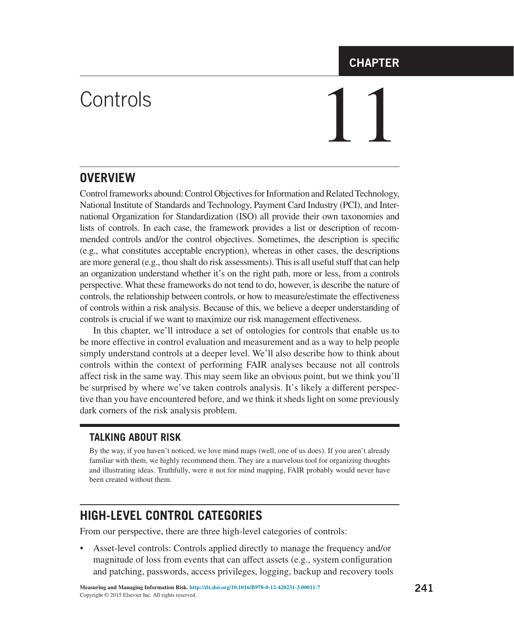# **CHAPTER**

# Controls 11

# **OVERVIEW**

Control frameworks abound: Control Objectives for Information and Related Technology, National Institute of Standards and Technology, Payment Card Industry (PCI), and International Organization for Standardization (ISO) all provide their own taxonomies and lists of controls. In each case, the framework provides a list or description of recommended controls and/or the control objectives. Sometimes, the description is specific (e.g., what constitutes acceptable encryption), whereas in other cases, the descriptions are more general (e.g., thou shalt do risk assessments). This is all useful stuff that can help an organization understand whether it's on the right path, more or less, from a controls perspective. What these frameworks do not tend to do, however, is describe the nature of controls, the relationship between controls, or how to measure/estimate the effectiveness of controls within a risk analysis. Because of this, we believe a deeper understanding of controls is crucial if we want to maximize our risk management effectiveness.

In this chapter, we'll introduce a set of ontologies for controls that enable us to be more effective in control evaluation and measurement and as a way to help people simply understand controls at a deeper level. We'll also describe how to think about controls within the context of performing FAIR analyses because not all controls affect risk in the same way. This may seem like an obvious point, but we think you'll be surprised by where we've taken controls analysis. It's likely a different perspective than you have encountered before, and we think it sheds light on some previously dark corners of the risk analysis problem.

# **TALKING ABOUT RISK**

By the way, if you haven't noticed, we love mind maps (well, one of us does). If you aren't already familiar with them, we highly recommend them. They are a marvelous tool for organizing thoughts and illustrating ideas. Truthfully, were it not for mind mapping, FAIR probably would never have been created without them.

# **HIGH-LEVEL CONTROL CATEGORIES**

From our perspective, there are three high-level categories of controls:

• Asset-level controls: Controls applied directly to manage the frequency and/or magnitude of loss from events that can affect assets (e.g., system configuration and patching, passwords, access privileges, logging, backup and recovery tools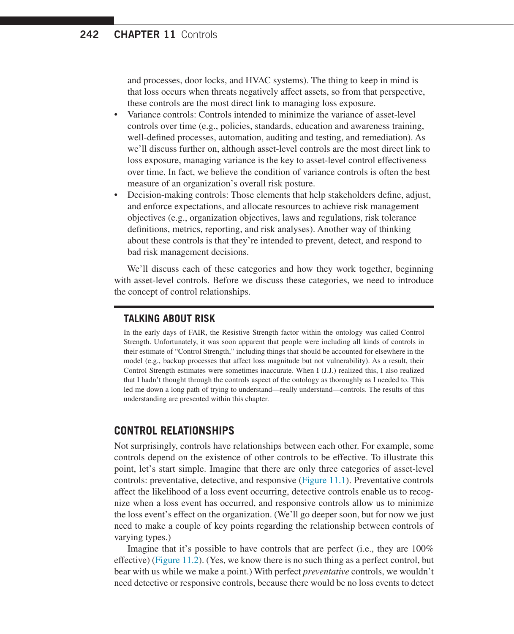and processes, door locks, and HVAC systems). The thing to keep in mind is that loss occurs when threats negatively affect assets, so from that perspective, these controls are the most direct link to managing loss exposure.

- Variance controls: Controls intended to minimize the variance of asset-level controls over time (e.g., policies, standards, education and awareness training, well-defined processes, automation, auditing and testing, and remediation). As we'll discuss further on, although asset-level controls are the most direct link to loss exposure, managing variance is the key to asset-level control effectiveness over time. In fact, we believe the condition of variance controls is often the best measure of an organization's overall risk posture.
- Decision-making controls: Those elements that help stakeholders define, adjust, and enforce expectations, and allocate resources to achieve risk management objectives (e.g., organization objectives, laws and regulations, risk tolerance definitions, metrics, reporting, and risk analyses). Another way of thinking about these controls is that they're intended to prevent, detect, and respond to bad risk management decisions.

We'll discuss each of these categories and how they work together, beginning with asset-level controls. Before we discuss these categories, we need to introduce the concept of control relationships.

### **TALKING ABOUT RISK**

In the early days of FAIR, the Resistive Strength factor within the ontology was called Control Strength. Unfortunately, it was soon apparent that people were including all kinds of controls in their estimate of "Control Strength," including things that should be accounted for elsewhere in the model (e.g., backup processes that affect loss magnitude but not vulnerability). As a result, their Control Strength estimates were sometimes inaccurate. When I (J.J.) realized this, I also realized that I hadn't thought through the controls aspect of the ontology as thoroughly as I needed to. This led me down a long path of trying to understand—really understand—controls. The results of this understanding are presented within this chapter.

### **CONTROL RELATIONSHIPS**

Not surprisingly, controls have relationships between each other. For example, some controls depend on the existence of other controls to be effective. To illustrate this point, let's start simple. Imagine that there are only three categories of asset-level controls: preventative, detective, and responsive (Figure 11.1). Preventative controls affect the likelihood of a loss event occurring, detective controls enable us to recognize when a loss event has occurred, and responsive controls allow us to minimize the loss event's effect on the organization. (We'll go deeper soon, but for now we just need to make a couple of key points regarding the relationship between controls of varying types.)

Imagine that it's possible to have controls that are perfect (i.e., they are 100% effective) (Figure 11.2). (Yes, we know there is no such thing as a perfect control, but bear with us while we make a point.) With perfect *preventative* controls, we wouldn't need detective or responsive controls, because there would be no loss events to detect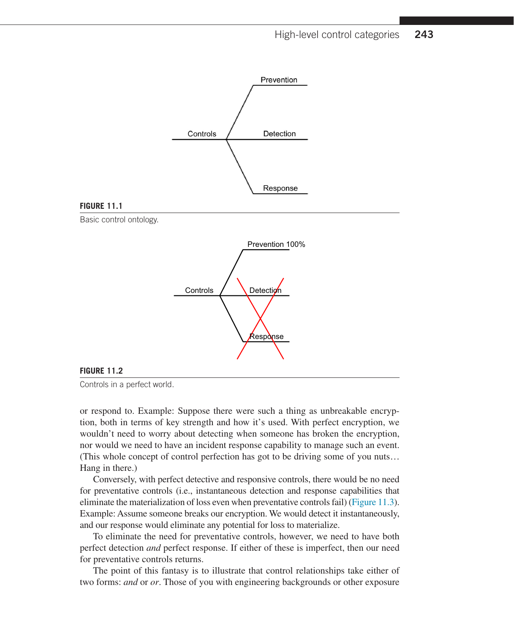



Basic control ontology.



### **FIGURE 11.2**

Controls in a perfect world.

or respond to. Example: Suppose there were such a thing as unbreakable encryption, both in terms of key strength and how it's used. With perfect encryption, we wouldn't need to worry about detecting when someone has broken the encryption, nor would we need to have an incident response capability to manage such an event. (This whole concept of control perfection has got to be driving some of you nuts… Hang in there.)

Conversely, with perfect detective and responsive controls, there would be no need for preventative controls (i.e., instantaneous detection and response capabilities that eliminate the materialization of loss even when preventative controls fail) (Figure 11.3). Example: Assume someone breaks our encryption. We would detect it instantaneously, and our response would eliminate any potential for loss to materialize.

To eliminate the need for preventative controls, however, we need to have both perfect detection *and* perfect response. If either of these is imperfect, then our need for preventative controls returns.

The point of this fantasy is to illustrate that control relationships take either of two forms: *and* or *or*. Those of you with engineering backgrounds or other exposure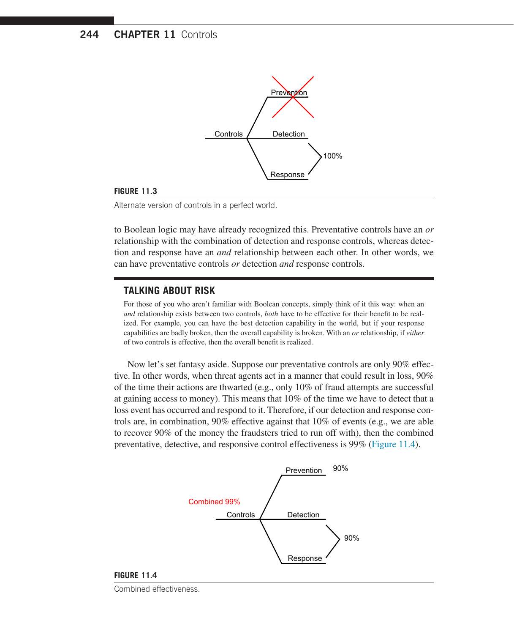

### **FIGURE 11.3**

Alternate version of controls in a perfect world.

to Boolean logic may have already recognized this. Preventative controls have an *or* relationship with the combination of detection and response controls, whereas detection and response have an *and* relationship between each other. In other words, we can have preventative controls *or* detection *and* response controls.

### **TALKING ABOUT RISK**

For those of you who aren't familiar with Boolean concepts, simply think of it this way: when an *and* relationship exists between two controls, *both* have to be effective for their benefit to be realized. For example, you can have the best detection capability in the world, but if your response capabilities are badly broken, then the overall capability is broken. With an *or* relationship, if *either* of two controls is effective, then the overall benefit is realized.

Now let's set fantasy aside. Suppose our preventative controls are only 90% effective. In other words, when threat agents act in a manner that could result in loss, 90% of the time their actions are thwarted (e.g., only 10% of fraud attempts are successful at gaining access to money). This means that 10% of the time we have to detect that a loss event has occurred and respond to it. Therefore, if our detection and response controls are, in combination, 90% effective against that 10% of events (e.g., we are able to recover 90% of the money the fraudsters tried to run off with), then the combined preventative, detective, and responsive control effectiveness is 99% (Figure 11.4).



Combined effectiveness.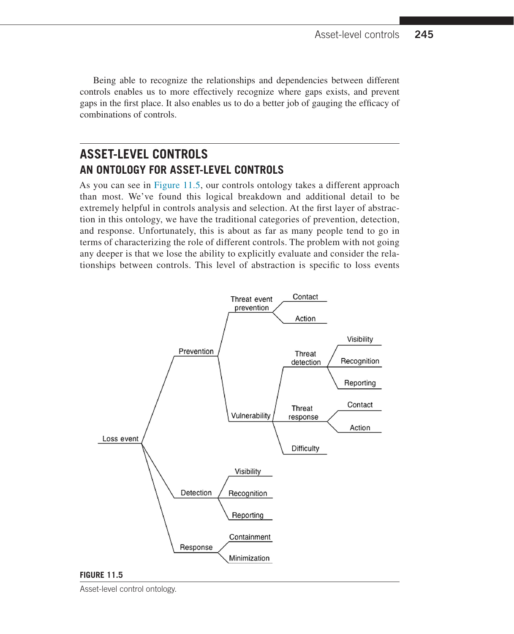Being able to recognize the relationships and dependencies between different controls enables us to more effectively recognize where gaps exists, and prevent gaps in the first place. It also enables us to do a better job of gauging the efficacy of combinations of controls.

# **ASSET-LEVEL CONTROLS AN ONTOLOGY FOR ASSET-LEVEL CONTROLS**

As you can see in Figure 11.5, our controls ontology takes a different approach than most. We've found this logical breakdown and additional detail to be extremely helpful in controls analysis and selection. At the first layer of abstraction in this ontology, we have the traditional categories of prevention, detection, and response. Unfortunately, this is about as far as many people tend to go in terms of characterizing the role of different controls. The problem with not going any deeper is that we lose the ability to explicitly evaluate and consider the relationships between controls. This level of abstraction is specific to loss events





Asset-level control ontology.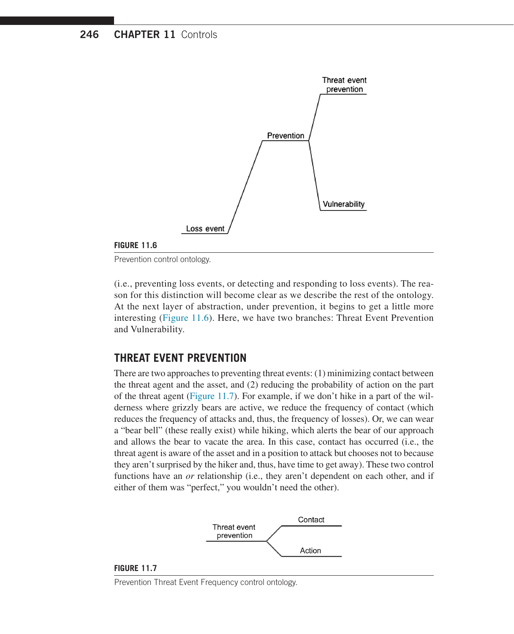



Prevention control ontology.

(i.e., preventing loss events, or detecting and responding to loss events). The reason for this distinction will become clear as we describe the rest of the ontology. At the next layer of abstraction, under prevention, it begins to get a little more interesting (Figure 11.6). Here, we have two branches: Threat Event Prevention and Vulnerability.

# **THREAT EVENT PREVENTION**

There are two approaches to preventing threat events: (1) minimizing contact between the threat agent and the asset, and (2) reducing the probability of action on the part of the threat agent (Figure 11.7). For example, if we don't hike in a part of the wilderness where grizzly bears are active, we reduce the frequency of contact (which reduces the frequency of attacks and, thus, the frequency of losses). Or, we can wear a "bear bell" (these really exist) while hiking, which alerts the bear of our approach and allows the bear to vacate the area. In this case, contact has occurred (i.e., the threat agent is aware of the asset and in a position to attack but chooses not to because they aren't surprised by the hiker and, thus, have time to get away). These two control functions have an *or* relationship (i.e., they aren't dependent on each other, and if either of them was "perfect," you wouldn't need the other).



### **FIGURE 11.7**

Prevention Threat Event Frequency control ontology.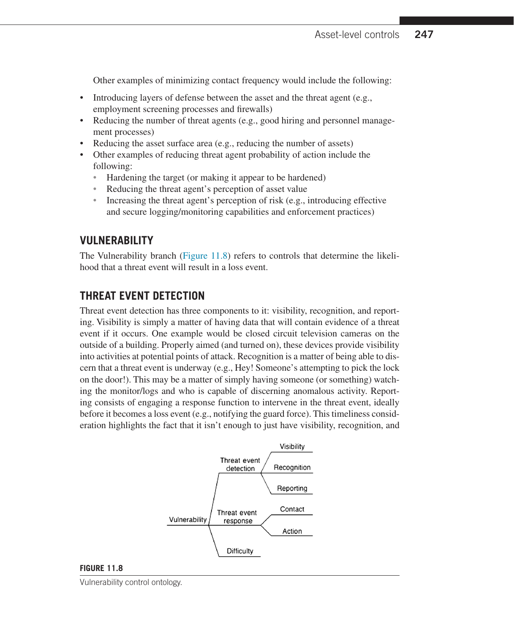Other examples of minimizing contact frequency would include the following:

- Introducing layers of defense between the asset and the threat agent (e.g., employment screening processes and firewalls)
- Reducing the number of threat agents (e.g., good hiring and personnel management processes)
- Reducing the asset surface area (e.g., reducing the number of assets)
- Other examples of reducing threat agent probability of action include the following:
	- Hardening the target (or making it appear to be hardened)
	- Reducing the threat agent's perception of asset value
	- Increasing the threat agent's perception of risk (e.g., introducing effective and secure logging/monitoring capabilities and enforcement practices)

# **VULNERABILITY**

The Vulnerability branch (Figure 11.8) refers to controls that determine the likelihood that a threat event will result in a loss event.

# **THREAT EVENT DETECTION**

Threat event detection has three components to it: visibility, recognition, and reporting. Visibility is simply a matter of having data that will contain evidence of a threat event if it occurs. One example would be closed circuit television cameras on the outside of a building. Properly aimed (and turned on), these devices provide visibility into activities at potential points of attack. Recognition is a matter of being able to discern that a threat event is underway (e.g., Hey! Someone's attempting to pick the lock on the door!). This may be a matter of simply having someone (or something) watching the monitor/logs and who is capable of discerning anomalous activity. Reporting consists of engaging a response function to intervene in the threat event, ideally before it becomes a loss event (e.g., notifying the guard force). This timeliness consideration highlights the fact that it isn't enough to just have visibility, recognition, and



### **FIGURE 11.8**

Vulnerability control ontology.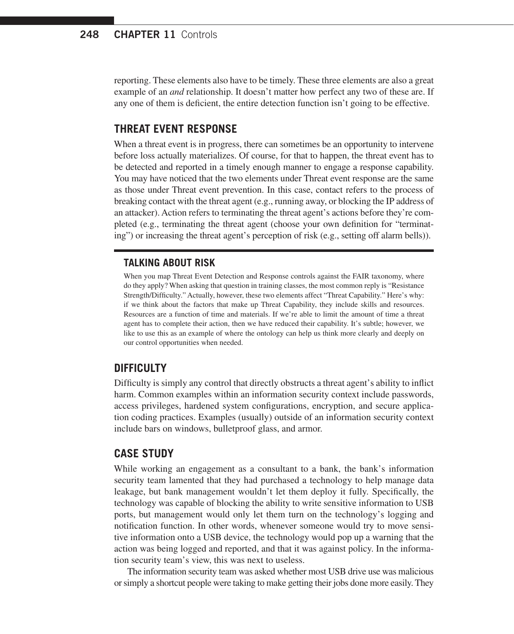reporting. These elements also have to be timely. These three elements are also a great example of an *and* relationship. It doesn't matter how perfect any two of these are. If any one of them is deficient, the entire detection function isn't going to be effective.

# **THREAT EVENT RESPONSE**

When a threat event is in progress, there can sometimes be an opportunity to intervene before loss actually materializes. Of course, for that to happen, the threat event has to be detected and reported in a timely enough manner to engage a response capability. You may have noticed that the two elements under Threat event response are the same as those under Threat event prevention. In this case, contact refers to the process of breaking contact with the threat agent (e.g., running away, or blocking the IP address of an attacker). Action refers to terminating the threat agent's actions before they're completed (e.g., terminating the threat agent (choose your own definition for "terminating") or increasing the threat agent's perception of risk (e.g., setting off alarm bells)).

### **TALKING ABOUT RISK**

When you map Threat Event Detection and Response controls against the FAIR taxonomy, where do they apply? When asking that question in training classes, the most common reply is "Resistance Strength/Difficulty." Actually, however, these two elements affect "Threat Capability." Here's why: if we think about the factors that make up Threat Capability, they include skills and resources. Resources are a function of time and materials. If we're able to limit the amount of time a threat agent has to complete their action, then we have reduced their capability. It's subtle; however, we like to use this as an example of where the ontology can help us think more clearly and deeply on our control opportunities when needed.

# **DIFFICULTY**

Difficulty is simply any control that directly obstructs a threat agent's ability to inflict harm. Common examples within an information security context include passwords, access privileges, hardened system configurations, encryption, and secure application coding practices. Examples (usually) outside of an information security context include bars on windows, bulletproof glass, and armor.

### **CASE STUDY**

While working an engagement as a consultant to a bank, the bank's information security team lamented that they had purchased a technology to help manage data leakage, but bank management wouldn't let them deploy it fully. Specifically, the technology was capable of blocking the ability to write sensitive information to USB ports, but management would only let them turn on the technology's logging and notification function. In other words, whenever someone would try to move sensitive information onto a USB device, the technology would pop up a warning that the action was being logged and reported, and that it was against policy. In the information security team's view, this was next to useless.

The information security team was asked whether most USB drive use was malicious or simply a shortcut people were taking to make getting their jobs done more easily. They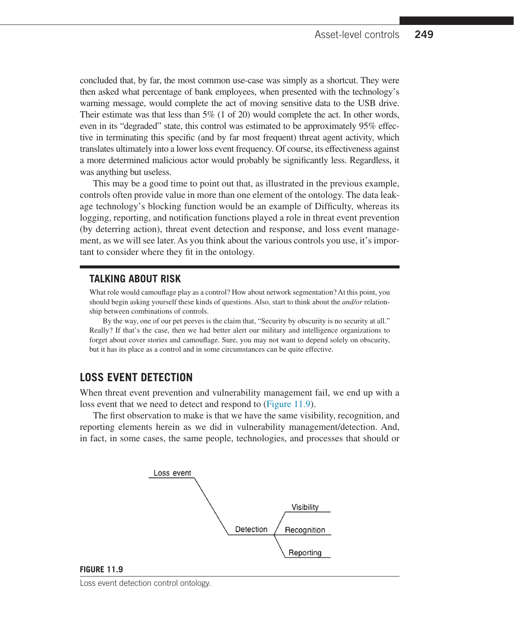concluded that, by far, the most common use-case was simply as a shortcut. They were then asked what percentage of bank employees, when presented with the technology's warning message, would complete the act of moving sensitive data to the USB drive. Their estimate was that less than 5% (1 of 20) would complete the act. In other words, even in its "degraded" state, this control was estimated to be approximately 95% effective in terminating this specific (and by far most frequent) threat agent activity, which translates ultimately into a lower loss event frequency. Of course, its effectiveness against a more determined malicious actor would probably be significantly less. Regardless, it was anything but useless.

This may be a good time to point out that, as illustrated in the previous example, controls often provide value in more than one element of the ontology. The data leakage technology's blocking function would be an example of Difficulty, whereas its logging, reporting, and notification functions played a role in threat event prevention (by deterring action), threat event detection and response, and loss event management, as we will see later. As you think about the various controls you use, it's important to consider where they fit in the ontology.

### **TALKING ABOUT RISK**

What role would camouflage play as a control? How about network segmentation? At this point, you should begin asking yourself these kinds of questions. Also, start to think about the *and/or* relationship between combinations of controls.

By the way, one of our pet peeves is the claim that, "Security by obscurity is no security at all." Really? If that's the case, then we had better alert our military and intelligence organizations to forget about cover stories and camouflage. Sure, you may not want to depend solely on obscurity, but it has its place as a control and in some circumstances can be quite effective.

# **LOSS EVENT DETECTION**

When threat event prevention and vulnerability management fail, we end up with a loss event that we need to detect and respond to (Figure 11.9).

The first observation to make is that we have the same visibility, recognition, and reporting elements herein as we did in vulnerability management/detection. And, in fact, in some cases, the same people, technologies, and processes that should or



### **FIGURE 11.9**

Loss event detection control ontology.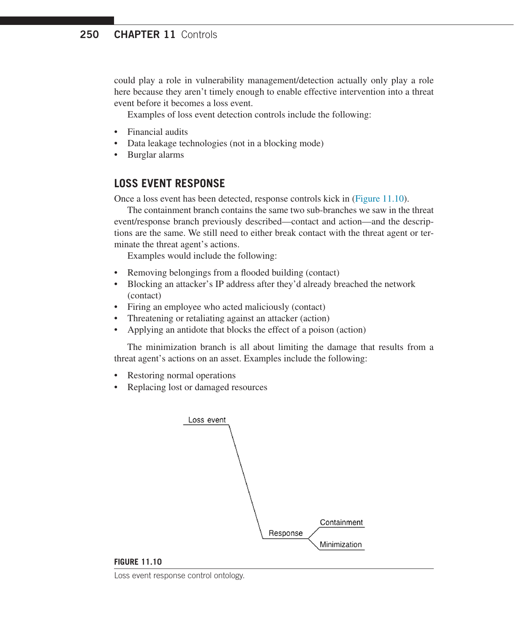could play a role in vulnerability management/detection actually only play a role here because they aren't timely enough to enable effective intervention into a threat event before it becomes a loss event.

Examples of loss event detection controls include the following:

- Financial audits
- Data leakage technologies (not in a blocking mode)
- Burglar alarms

# **LOSS EVENT RESPONSE**

Once a loss event has been detected, response controls kick in (Figure 11.10).

The containment branch contains the same two sub-branches we saw in the threat event/response branch previously described—contact and action—and the descriptions are the same. We still need to either break contact with the threat agent or terminate the threat agent's actions.

Examples would include the following:

- Removing belongings from a flooded building (contact)
- Blocking an attacker's IP address after they'd already breached the network (contact)
- Firing an employee who acted maliciously (contact)
- Threatening or retaliating against an attacker (action)
- Applying an antidote that blocks the effect of a poison (action)

The minimization branch is all about limiting the damage that results from a threat agent's actions on an asset. Examples include the following:

- Restoring normal operations
- Replacing lost or damaged resources





Loss event response control ontology.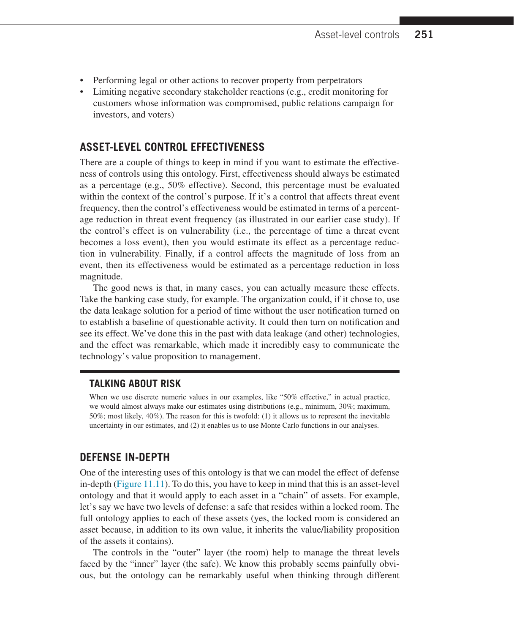- Performing legal or other actions to recover property from perpetrators
- Limiting negative secondary stakeholder reactions (e.g., credit monitoring for customers whose information was compromised, public relations campaign for investors, and voters)

# **ASSET-LEVEL CONTROL EFFECTIVENESS**

There are a couple of things to keep in mind if you want to estimate the effectiveness of controls using this ontology. First, effectiveness should always be estimated as a percentage (e.g., 50% effective). Second, this percentage must be evaluated within the context of the control's purpose. If it's a control that affects threat event frequency, then the control's effectiveness would be estimated in terms of a percentage reduction in threat event frequency (as illustrated in our earlier case study). If the control's effect is on vulnerability (i.e., the percentage of time a threat event becomes a loss event), then you would estimate its effect as a percentage reduction in vulnerability. Finally, if a control affects the magnitude of loss from an event, then its effectiveness would be estimated as a percentage reduction in loss magnitude.

The good news is that, in many cases, you can actually measure these effects. Take the banking case study, for example. The organization could, if it chose to, use the data leakage solution for a period of time without the user notification turned on to establish a baseline of questionable activity. It could then turn on notification and see its effect. We've done this in the past with data leakage (and other) technologies, and the effect was remarkable, which made it incredibly easy to communicate the technology's value proposition to management.

# **TALKING ABOUT RISK**

When we use discrete numeric values in our examples, like "50% effective," in actual practice, we would almost always make our estimates using distributions (e.g., minimum, 30%; maximum, 50%; most likely, 40%). The reason for this is twofold: (1) it allows us to represent the inevitable uncertainty in our estimates, and (2) it enables us to use Monte Carlo functions in our analyses.

# **DEFENSE IN-DEPTH**

One of the interesting uses of this ontology is that we can model the effect of defense in-depth (Figure 11.11). To do this, you have to keep in mind that this is an asset-level ontology and that it would apply to each asset in a "chain" of assets. For example, let's say we have two levels of defense: a safe that resides within a locked room. The full ontology applies to each of these assets (yes, the locked room is considered an asset because, in addition to its own value, it inherits the value/liability proposition of the assets it contains).

The controls in the "outer" layer (the room) help to manage the threat levels faced by the "inner" layer (the safe). We know this probably seems painfully obvious, but the ontology can be remarkably useful when thinking through different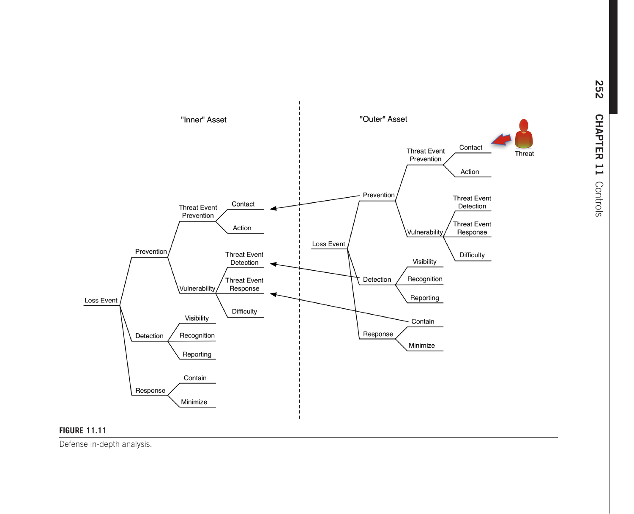

### **FIGURE 11.11**

Defense in-depth analysis.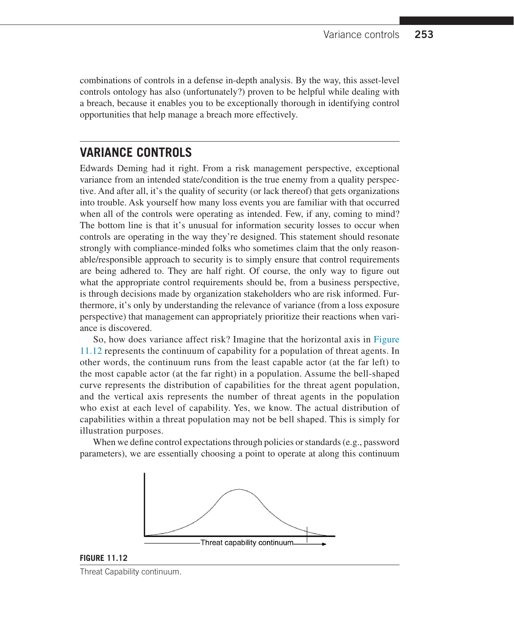combinations of controls in a defense in-depth analysis. By the way, this asset-level controls ontology has also (unfortunately?) proven to be helpful while dealing with a breach, because it enables you to be exceptionally thorough in identifying control opportunities that help manage a breach more effectively.

# **VARIANCE CONTROLS**

Edwards Deming had it right. From a risk management perspective, exceptional variance from an intended state/condition is the true enemy from a quality perspective. And after all, it's the quality of security (or lack thereof) that gets organizations into trouble. Ask yourself how many loss events you are familiar with that occurred when all of the controls were operating as intended. Few, if any, coming to mind? The bottom line is that it's unusual for information security losses to occur when controls are operating in the way they're designed. This statement should resonate strongly with compliance-minded folks who sometimes claim that the only reasonable/responsible approach to security is to simply ensure that control requirements are being adhered to. They are half right. Of course, the only way to figure out what the appropriate control requirements should be, from a business perspective, is through decisions made by organization stakeholders who are risk informed. Furthermore, it's only by understanding the relevance of variance (from a loss exposure perspective) that management can appropriately prioritize their reactions when variance is discovered.

So, how does variance affect risk? Imagine that the horizontal axis in Figure 11.12 represents the continuum of capability for a population of threat agents. In other words, the continuum runs from the least capable actor (at the far left) to the most capable actor (at the far right) in a population. Assume the bell-shaped curve represents the distribution of capabilities for the threat agent population, and the vertical axis represents the number of threat agents in the population who exist at each level of capability. Yes, we know. The actual distribution of capabilities within a threat population may not be bell shaped. This is simply for illustration purposes.

When we define control expectations through policies or standards (e.g., password parameters), we are essentially choosing a point to operate at along this continuum





Threat Capability continuum.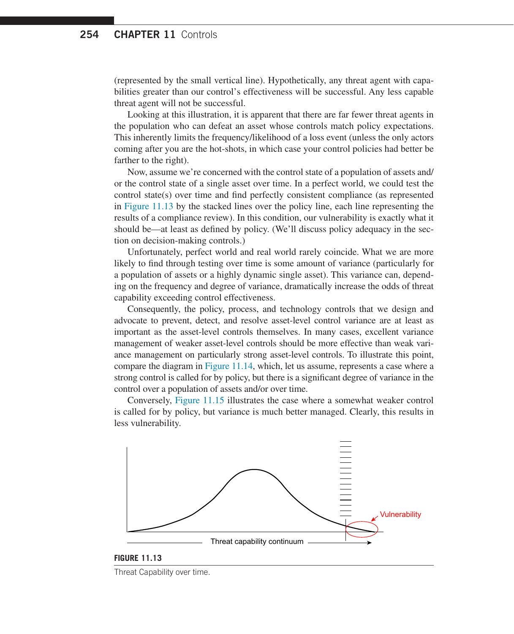(represented by the small vertical line). Hypothetically, any threat agent with capabilities greater than our control's effectiveness will be successful. Any less capable threat agent will not be successful.

Looking at this illustration, it is apparent that there are far fewer threat agents in the population who can defeat an asset whose controls match policy expectations. This inherently limits the frequency/likelihood of a loss event (unless the only actors coming after you are the hot-shots, in which case your control policies had better be farther to the right).

Now, assume we're concerned with the control state of a population of assets and/ or the control state of a single asset over time. In a perfect world, we could test the control state(s) over time and find perfectly consistent compliance (as represented in Figure 11.13 by the stacked lines over the policy line, each line representing the results of a compliance review). In this condition, our vulnerability is exactly what it should be—at least as defined by policy. (We'll discuss policy adequacy in the section on decision-making controls.)

Unfortunately, perfect world and real world rarely coincide. What we are more likely to find through testing over time is some amount of variance (particularly for a population of assets or a highly dynamic single asset). This variance can, depending on the frequency and degree of variance, dramatically increase the odds of threat capability exceeding control effectiveness.

Consequently, the policy, process, and technology controls that we design and advocate to prevent, detect, and resolve asset-level control variance are at least as important as the asset-level controls themselves. In many cases, excellent variance management of weaker asset-level controls should be more effective than weak variance management on particularly strong asset-level controls. To illustrate this point, compare the diagram in Figure 11.14, which, let us assume, represents a case where a strong control is called for by policy, but there is a significant degree of variance in the control over a population of assets and/or over time.

Conversely, Figure 11.15 illustrates the case where a somewhat weaker control is called for by policy, but variance is much better managed. Clearly, this results in less vulnerability.





Threat Capability over time.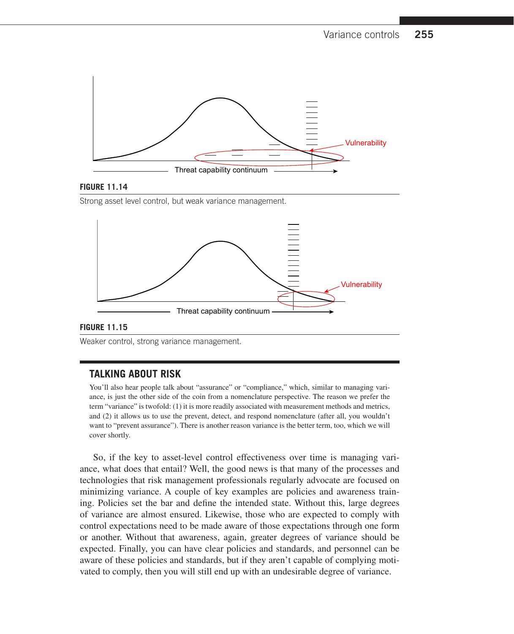

### **FIGURE 11.14**

Strong asset level control, but weak variance management.



### **FIGURE 11.15**

Weaker control, strong variance management.

### **TALKING ABOUT RISK**

You'll also hear people talk about "assurance" or "compliance," which, similar to managing variance, is just the other side of the coin from a nomenclature perspective. The reason we prefer the term "variance" is twofold: (1) it is more readily associated with measurement methods and metrics, and (2) it allows us to use the prevent, detect, and respond nomenclature (after all, you wouldn't want to "prevent assurance"). There is another reason variance is the better term, too, which we will cover shortly.

So, if the key to asset-level control effectiveness over time is managing variance, what does that entail? Well, the good news is that many of the processes and technologies that risk management professionals regularly advocate are focused on minimizing variance. A couple of key examples are policies and awareness training. Policies set the bar and define the intended state. Without this, large degrees of variance are almost ensured. Likewise, those who are expected to comply with control expectations need to be made aware of those expectations through one form or another. Without that awareness, again, greater degrees of variance should be expected. Finally, you can have clear policies and standards, and personnel can be aware of these policies and standards, but if they aren't capable of complying motivated to comply, then you will still end up with an undesirable degree of variance.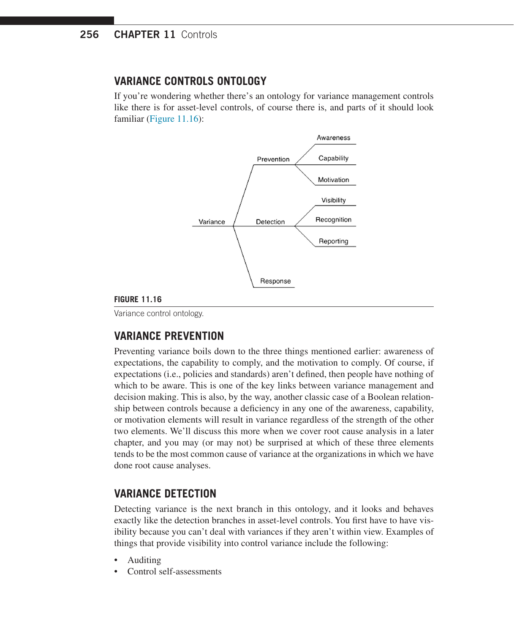# **VARIANCE CONTROLS ONTOLOGY**

If you're wondering whether there's an ontology for variance management controls like there is for asset-level controls, of course there is, and parts of it should look familiar (Figure 11.16):



### **FIGURE 11.16**

Variance control ontology.

# **VARIANCE PREVENTION**

Preventing variance boils down to the three things mentioned earlier: awareness of expectations, the capability to comply, and the motivation to comply. Of course, if expectations (i.e., policies and standards) aren't defined, then people have nothing of which to be aware. This is one of the key links between variance management and decision making. This is also, by the way, another classic case of a Boolean relationship between controls because a deficiency in any one of the awareness, capability, or motivation elements will result in variance regardless of the strength of the other two elements. We'll discuss this more when we cover root cause analysis in a later chapter, and you may (or may not) be surprised at which of these three elements tends to be the most common cause of variance at the organizations in which we have done root cause analyses.

# **VARIANCE DETECTION**

Detecting variance is the next branch in this ontology, and it looks and behaves exactly like the detection branches in asset-level controls. You first have to have visibility because you can't deal with variances if they aren't within view. Examples of things that provide visibility into control variance include the following:

- Auditing
- Control self-assessments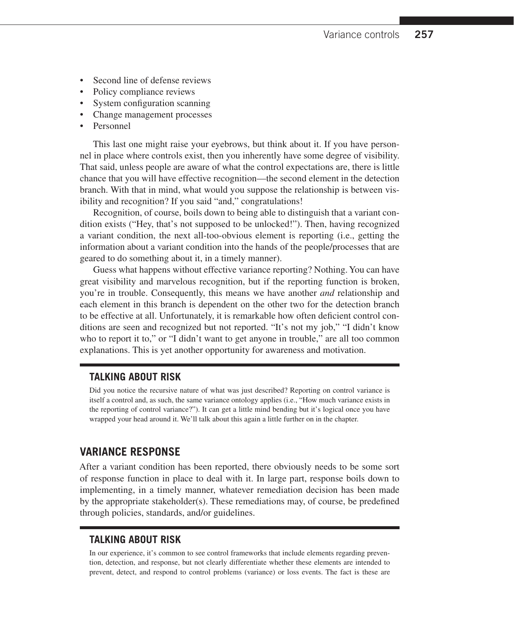- Second line of defense reviews
- Policy compliance reviews
- System configuration scanning
- Change management processes
- Personnel

This last one might raise your eyebrows, but think about it. If you have personnel in place where controls exist, then you inherently have some degree of visibility. That said, unless people are aware of what the control expectations are, there is little chance that you will have effective recognition—the second element in the detection branch. With that in mind, what would you suppose the relationship is between visibility and recognition? If you said "and," congratulations!

Recognition, of course, boils down to being able to distinguish that a variant condition exists ("Hey, that's not supposed to be unlocked!"). Then, having recognized a variant condition, the next all-too-obvious element is reporting (i.e., getting the information about a variant condition into the hands of the people/processes that are geared to do something about it, in a timely manner).

Guess what happens without effective variance reporting? Nothing. You can have great visibility and marvelous recognition, but if the reporting function is broken, you're in trouble. Consequently, this means we have another *and* relationship and each element in this branch is dependent on the other two for the detection branch to be effective at all. Unfortunately, it is remarkable how often deficient control conditions are seen and recognized but not reported. "It's not my job," "I didn't know who to report it to," or "I didn't want to get anyone in trouble," are all too common explanations. This is yet another opportunity for awareness and motivation.

### **TALKING ABOUT RISK**

Did you notice the recursive nature of what was just described? Reporting on control variance is itself a control and, as such, the same variance ontology applies (i.e., "How much variance exists in the reporting of control variance?"). It can get a little mind bending but it's logical once you have wrapped your head around it. We'll talk about this again a little further on in the chapter.

# **VARIANCE RESPONSE**

After a variant condition has been reported, there obviously needs to be some sort of response function in place to deal with it. In large part, response boils down to implementing, in a timely manner, whatever remediation decision has been made by the appropriate stakeholder(s). These remediations may, of course, be predefined through policies, standards, and/or guidelines.

### **TALKING ABOUT RISK**

In our experience, it's common to see control frameworks that include elements regarding prevention, detection, and response, but not clearly differentiate whether these elements are intended to prevent, detect, and respond to control problems (variance) or loss events. The fact is these are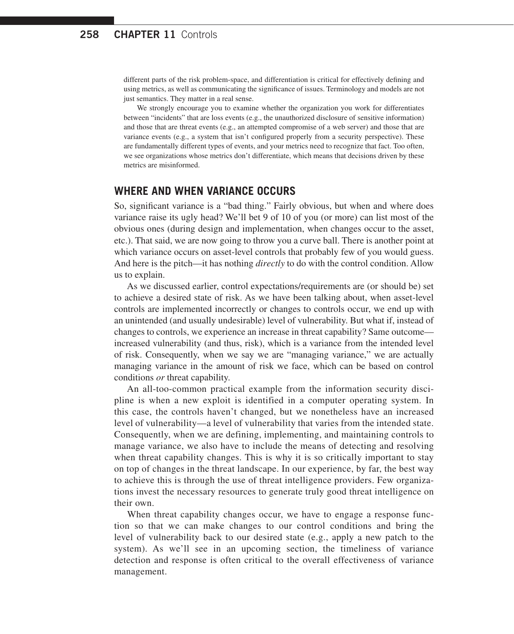different parts of the risk problem-space, and differentiation is critical for effectively defining and using metrics, as well as communicating the significance of issues. Terminology and models are not just semantics. They matter in a real sense.

We strongly encourage you to examine whether the organization you work for differentiates between "incidents" that are loss events (e.g., the unauthorized disclosure of sensitive information) and those that are threat events (e.g., an attempted compromise of a web server) and those that are variance events (e.g., a system that isn't configured properly from a security perspective). These are fundamentally different types of events, and your metrics need to recognize that fact. Too often, we see organizations whose metrics don't differentiate, which means that decisions driven by these metrics are misinformed.

### **WHERE AND WHEN VARIANCE OCCURS**

So, significant variance is a "bad thing." Fairly obvious, but when and where does variance raise its ugly head? We'll bet 9 of 10 of you (or more) can list most of the obvious ones (during design and implementation, when changes occur to the asset, etc.). That said, we are now going to throw you a curve ball. There is another point at which variance occurs on asset-level controls that probably few of you would guess. And here is the pitch—it has nothing *directly* to do with the control condition. Allow us to explain.

As we discussed earlier, control expectations/requirements are (or should be) set to achieve a desired state of risk. As we have been talking about, when asset-level controls are implemented incorrectly or changes to controls occur, we end up with an unintended (and usually undesirable) level of vulnerability. But what if, instead of changes to controls, we experience an increase in threat capability? Same outcome increased vulnerability (and thus, risk), which is a variance from the intended level of risk. Consequently, when we say we are "managing variance," we are actually managing variance in the amount of risk we face, which can be based on control conditions *or* threat capability.

An all-too-common practical example from the information security discipline is when a new exploit is identified in a computer operating system. In this case, the controls haven't changed, but we nonetheless have an increased level of vulnerability—a level of vulnerability that varies from the intended state. Consequently, when we are defining, implementing, and maintaining controls to manage variance, we also have to include the means of detecting and resolving when threat capability changes. This is why it is so critically important to stay on top of changes in the threat landscape. In our experience, by far, the best way to achieve this is through the use of threat intelligence providers. Few organizations invest the necessary resources to generate truly good threat intelligence on their own.

When threat capability changes occur, we have to engage a response function so that we can make changes to our control conditions and bring the level of vulnerability back to our desired state (e.g., apply a new patch to the system). As we'll see in an upcoming section, the timeliness of variance detection and response is often critical to the overall effectiveness of variance management.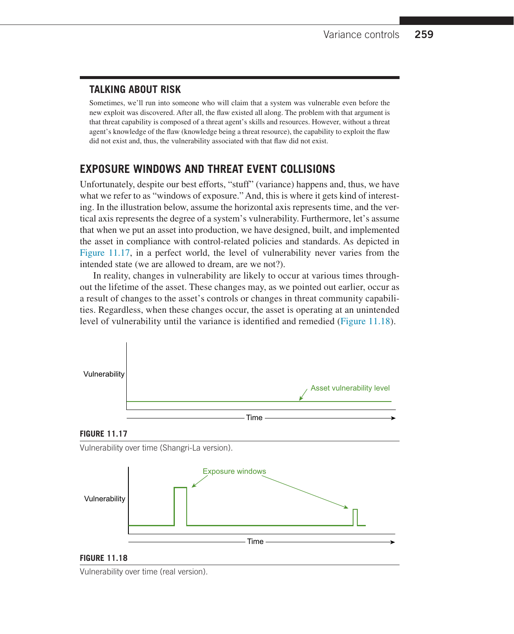# **TALKING ABOUT RISK**

Sometimes, we'll run into someone who will claim that a system was vulnerable even before the new exploit was discovered. After all, the flaw existed all along. The problem with that argument is that threat capability is composed of a threat agent's skills and resources. However, without a threat agent's knowledge of the flaw (knowledge being a threat resource), the capability to exploit the flaw did not exist and, thus, the vulnerability associated with that flaw did not exist.

# **EXPOSURE WINDOWS AND THREAT EVENT COLLISIONS**

Unfortunately, despite our best efforts, "stuff" (variance) happens and, thus, we have what we refer to as "windows of exposure." And, this is where it gets kind of interesting. In the illustration below, assume the horizontal axis represents time, and the vertical axis represents the degree of a system's vulnerability. Furthermore, let's assume that when we put an asset into production, we have designed, built, and implemented the asset in compliance with control-related policies and standards. As depicted in Figure 11.17, in a perfect world, the level of vulnerability never varies from the intended state (we are allowed to dream, are we not?).

In reality, changes in vulnerability are likely to occur at various times throughout the lifetime of the asset. These changes may, as we pointed out earlier, occur as a result of changes to the asset's controls or changes in threat community capabilities. Regardless, when these changes occur, the asset is operating at an unintended level of vulnerability until the variance is identified and remedied (Figure 11.18).



### **FIGURE 11.17**



### **FIGURE 11.18**

Vulnerability over time (real version).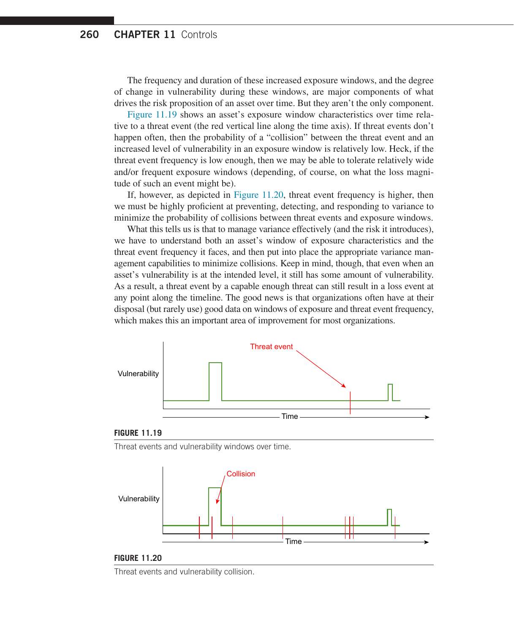The frequency and duration of these increased exposure windows, and the degree of change in vulnerability during these windows, are major components of what drives the risk proposition of an asset over time. But they aren't the only component.

Figure 11.19 shows an asset's exposure window characteristics over time relative to a threat event (the red vertical line along the time axis). If threat events don't happen often, then the probability of a "collision" between the threat event and an increased level of vulnerability in an exposure window is relatively low. Heck, if the threat event frequency is low enough, then we may be able to tolerate relatively wide and/or frequent exposure windows (depending, of course, on what the loss magnitude of such an event might be).

If, however, as depicted in Figure 11.20, threat event frequency is higher, then we must be highly proficient at preventing, detecting, and responding to variance to minimize the probability of collisions between threat events and exposure windows.

What this tells us is that to manage variance effectively (and the risk it introduces), we have to understand both an asset's window of exposure characteristics and the threat event frequency it faces, and then put into place the appropriate variance management capabilities to minimize collisions. Keep in mind, though, that even when an asset's vulnerability is at the intended level, it still has some amount of vulnerability. As a result, a threat event by a capable enough threat can still result in a loss event at any point along the timeline. The good news is that organizations often have at their disposal (but rarely use) good data on windows of exposure and threat event frequency, which makes this an important area of improvement for most organizations.





Threat events and vulnerability windows over time.



### **FIGURE 11.20**

Threat events and vulnerability collision.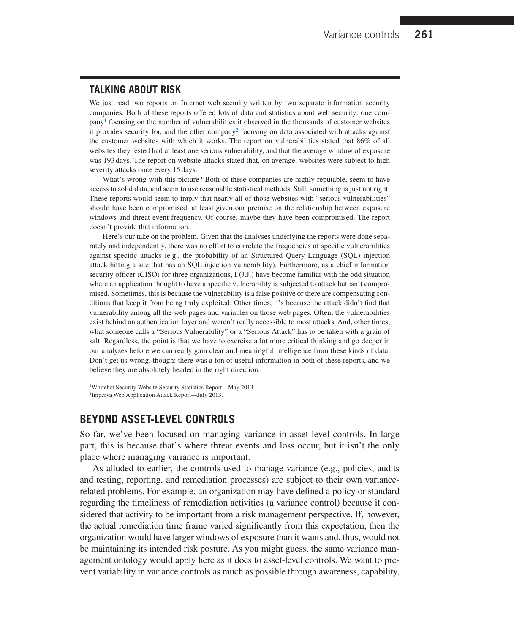### **TALKING ABOUT RISK**

We just read two reports on Internet web security written by two separate information security companies. Both of these reports offered lots of data and statistics about web security: one company1 focusing on the number of vulnerabilities it observed in the thousands of customer websites it provides security for, and the other company<sup>2</sup> focusing on data associated with attacks against the customer websites with which it works. The report on vulnerabilities stated that 86% of all websites they tested had at least one serious vulnerability, and that the average window of exposure was 193days. The report on website attacks stated that, on average, websites were subject to high severity attacks once every 15days.

What's wrong with this picture? Both of these companies are highly reputable, seem to have access to solid data, and seem to use reasonable statistical methods. Still, something is just not right. These reports would seem to imply that nearly all of those websites with "serious vulnerabilities" should have been compromised, at least given our premise on the relationship between exposure windows and threat event frequency. Of course, maybe they have been compromised. The report doesn't provide that information.

Here's our take on the problem. Given that the analyses underlying the reports were done separately and independently, there was no effort to correlate the frequencies of specific vulnerabilities against specific attacks (e.g., the probability of an Structured Query Language (SQL) injection attack hitting a site that has an SQL injection vulnerability). Furthermore, as a chief information security officer (CISO) for three organizations, I (J.J.) have become familiar with the odd situation where an application thought to have a specific vulnerability is subjected to attack but isn't compromised. Sometimes, this is because the vulnerability is a false positive or there are compensating conditions that keep it from being truly exploited. Other times, it's because the attack didn't find that vulnerability among all the web pages and variables on those web pages. Often, the vulnerabilities exist behind an authentication layer and weren't really accessible to most attacks. And, other times, what someone calls a "Serious Vulnerability" or a "Serious Attack" has to be taken with a grain of salt. Regardless, the point is that we have to exercise a lot more critical thinking and go deeper in our analyses before we can really gain clear and meaningful intelligence from these kinds of data. Don't get us wrong, though: there was a ton of useful information in both of these reports, and we believe they are absolutely headed in the right direction.

1Whitehat Security Website Security Statistics Report—May 2013. 2Imperva Web Application Attack Report—July 2013.

# **BEYOND ASSET-LEVEL CONTROLS**

So far, we've been focused on managing variance in asset-level controls. In large part, this is because that's where threat events and loss occur, but it isn't the only place where managing variance is important.

As alluded to earlier, the controls used to manage variance (e.g., policies, audits and testing, reporting, and remediation processes) are subject to their own variancerelated problems. For example, an organization may have defined a policy or standard regarding the timeliness of remediation activities (a variance control) because it considered that activity to be important from a risk management perspective. If, however, the actual remediation time frame varied significantly from this expectation, then the organization would have larger windows of exposure than it wants and, thus, would not be maintaining its intended risk posture. As you might guess, the same variance management ontology would apply here as it does to asset-level controls. We want to prevent variability in variance controls as much as possible through awareness, capability,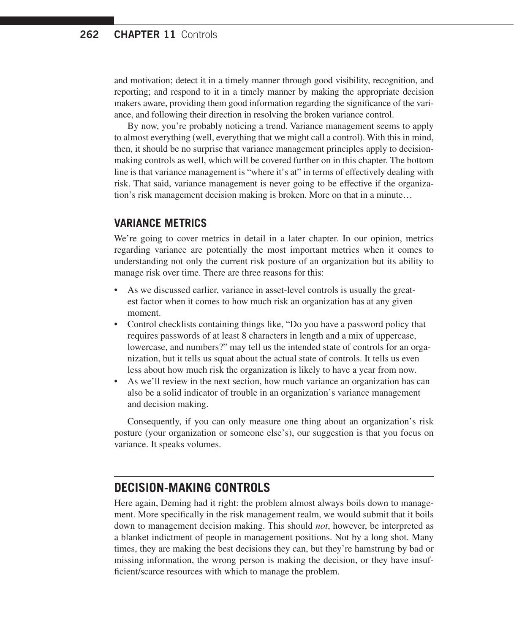and motivation; detect it in a timely manner through good visibility, recognition, and reporting; and respond to it in a timely manner by making the appropriate decision makers aware, providing them good information regarding the significance of the variance, and following their direction in resolving the broken variance control.

By now, you're probably noticing a trend. Variance management seems to apply to almost everything (well, everything that we might call a control). With this in mind, then, it should be no surprise that variance management principles apply to decisionmaking controls as well, which will be covered further on in this chapter. The bottom line is that variance management is "where it's at" in terms of effectively dealing with risk. That said, variance management is never going to be effective if the organization's risk management decision making is broken. More on that in a minute…

### **VARIANCE METRICS**

We're going to cover metrics in detail in a later chapter. In our opinion, metrics regarding variance are potentially the most important metrics when it comes to understanding not only the current risk posture of an organization but its ability to manage risk over time. There are three reasons for this:

- As we discussed earlier, variance in asset-level controls is usually the greatest factor when it comes to how much risk an organization has at any given moment.
- Control checklists containing things like, "Do you have a password policy that requires passwords of at least 8 characters in length and a mix of uppercase, lowercase, and numbers?" may tell us the intended state of controls for an organization, but it tells us squat about the actual state of controls. It tells us even less about how much risk the organization is likely to have a year from now.
- As we'll review in the next section, how much variance an organization has can also be a solid indicator of trouble in an organization's variance management and decision making.

Consequently, if you can only measure one thing about an organization's risk posture (your organization or someone else's), our suggestion is that you focus on variance. It speaks volumes.

# **DECISION-MAKING CONTROLS**

Here again, Deming had it right: the problem almost always boils down to management. More specifically in the risk management realm, we would submit that it boils down to management decision making. This should *not*, however, be interpreted as a blanket indictment of people in management positions. Not by a long shot. Many times, they are making the best decisions they can, but they're hamstrung by bad or missing information, the wrong person is making the decision, or they have insufficient/scarce resources with which to manage the problem.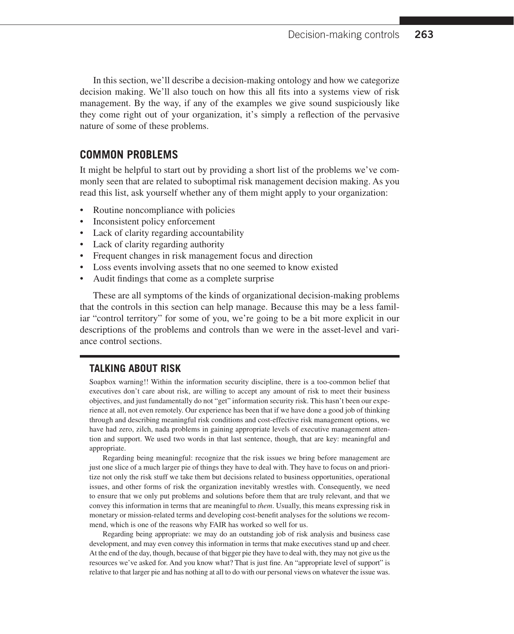In this section, we'll describe a decision-making ontology and how we categorize decision making. We'll also touch on how this all fits into a systems view of risk management. By the way, if any of the examples we give sound suspiciously like they come right out of your organization, it's simply a reflection of the pervasive nature of some of these problems.

# **COMMON PROBLEMS**

It might be helpful to start out by providing a short list of the problems we've commonly seen that are related to suboptimal risk management decision making. As you read this list, ask yourself whether any of them might apply to your organization:

- Routine noncompliance with policies
- Inconsistent policy enforcement
- Lack of clarity regarding accountability
- Lack of clarity regarding authority
- Frequent changes in risk management focus and direction
- Loss events involving assets that no one seemed to know existed
- Audit findings that come as a complete surprise

These are all symptoms of the kinds of organizational decision-making problems that the controls in this section can help manage. Because this may be a less familiar "control territory" for some of you, we're going to be a bit more explicit in our descriptions of the problems and controls than we were in the asset-level and variance control sections.

# **TALKING ABOUT RISK**

Soapbox warning!! Within the information security discipline, there is a too-common belief that executives don't care about risk, are willing to accept any amount of risk to meet their business objectives, and just fundamentally do not "get" information security risk. This hasn't been our experience at all, not even remotely. Our experience has been that if we have done a good job of thinking through and describing meaningful risk conditions and cost-effective risk management options, we have had zero, zilch, nada problems in gaining appropriate levels of executive management attention and support. We used two words in that last sentence, though, that are key: meaningful and appropriate.

Regarding being meaningful: recognize that the risk issues we bring before management are just one slice of a much larger pie of things they have to deal with. They have to focus on and prioritize not only the risk stuff we take them but decisions related to business opportunities, operational issues, and other forms of risk the organization inevitably wrestles with. Consequently, we need to ensure that we only put problems and solutions before them that are truly relevant, and that we convey this information in terms that are meaningful to *them*. Usually, this means expressing risk in monetary or mission-related terms and developing cost-benefit analyses for the solutions we recommend, which is one of the reasons why FAIR has worked so well for us.

Regarding being appropriate: we may do an outstanding job of risk analysis and business case development, and may even convey this information in terms that make executives stand up and cheer. At the end of the day, though, because of that bigger pie they have to deal with, they may not give us the resources we've asked for. And you know what? That is just fine. An "appropriate level of support" is relative to that larger pie and has nothing at all to do with our personal views on whatever the issue was.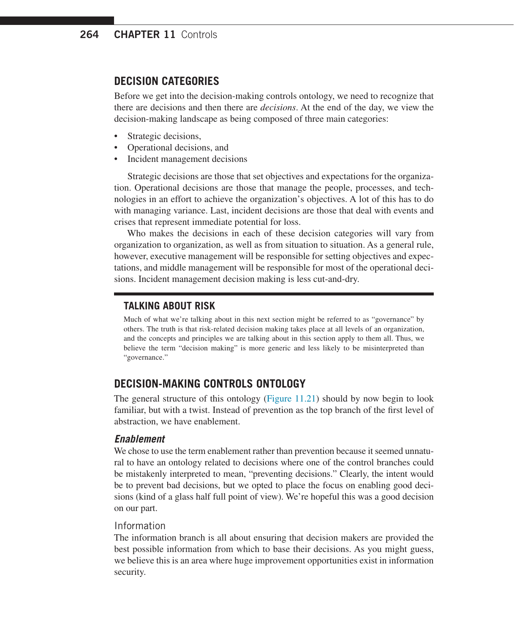### **DECISION CATEGORIES**

Before we get into the decision-making controls ontology, we need to recognize that there are decisions and then there are *decisions*. At the end of the day, we view the decision-making landscape as being composed of three main categories:

- Strategic decisions,
- Operational decisions, and
- Incident management decisions

Strategic decisions are those that set objectives and expectations for the organization. Operational decisions are those that manage the people, processes, and technologies in an effort to achieve the organization's objectives. A lot of this has to do with managing variance. Last, incident decisions are those that deal with events and crises that represent immediate potential for loss.

Who makes the decisions in each of these decision categories will vary from organization to organization, as well as from situation to situation. As a general rule, however, executive management will be responsible for setting objectives and expectations, and middle management will be responsible for most of the operational decisions. Incident management decision making is less cut-and-dry.

### **TALKING ABOUT RISK**

Much of what we're talking about in this next section might be referred to as "governance" by others. The truth is that risk-related decision making takes place at all levels of an organization, and the concepts and principles we are talking about in this section apply to them all. Thus, we believe the term "decision making" is more generic and less likely to be misinterpreted than "governance."

# **DECISION-MAKING CONTROLS ONTOLOGY**

The general structure of this ontology (Figure 11.21) should by now begin to look familiar, but with a twist. Instead of prevention as the top branch of the first level of abstraction, we have enablement.

### **Enablement**

We chose to use the term enablement rather than prevention because it seemed unnatural to have an ontology related to decisions where one of the control branches could be mistakenly interpreted to mean, "preventing decisions." Clearly, the intent would be to prevent bad decisions, but we opted to place the focus on enabling good decisions (kind of a glass half full point of view). We're hopeful this was a good decision on our part.

### Information

The information branch is all about ensuring that decision makers are provided the best possible information from which to base their decisions. As you might guess, we believe this is an area where huge improvement opportunities exist in information security.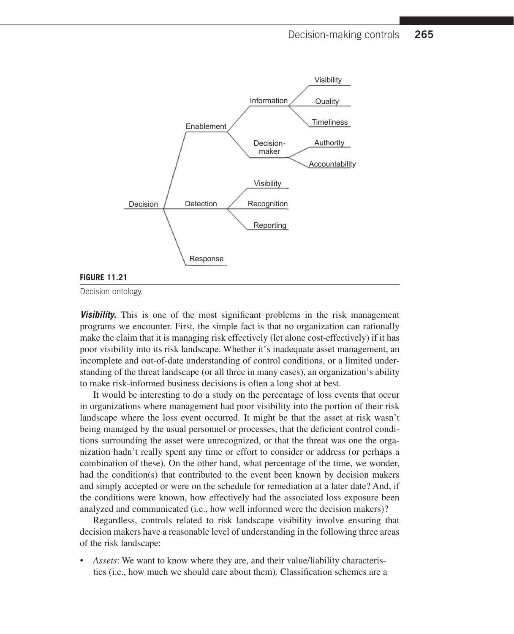

### **FIGURE 11.21**

Decision ontology.

**Visibility.** This is one of the most significant problems in the risk management programs we encounter. First, the simple fact is that no organization can rationally make the claim that it is managing risk effectively (let alone cost-effectively) if it has poor visibility into its risk landscape. Whether it's inadequate asset management, an incomplete and out-of-date understanding of control conditions, or a limited understanding of the threat landscape (or all three in many cases), an organization's ability to make risk-informed business decisions is often a long shot at best.

It would be interesting to do a study on the percentage of loss events that occur in organizations where management had poor visibility into the portion of their risk landscape where the loss event occurred. It might be that the asset at risk wasn't being managed by the usual personnel or processes, that the deficient control conditions surrounding the asset were unrecognized, or that the threat was one the organization hadn't really spent any time or effort to consider or address (or perhaps a combination of these). On the other hand, what percentage of the time, we wonder, had the condition(s) that contributed to the event been known by decision makers and simply accepted or were on the schedule for remediation at a later date? And, if the conditions were known, how effectively had the associated loss exposure been analyzed and communicated (i.e., how well informed were the decision makers)?

Regardless, controls related to risk landscape visibility involve ensuring that decision makers have a reasonable level of understanding in the following three areas of the risk landscape:

• *Assets*: We want to know where they are, and their value/liability characteristics (i.e., how much we should care about them). Classification schemes are a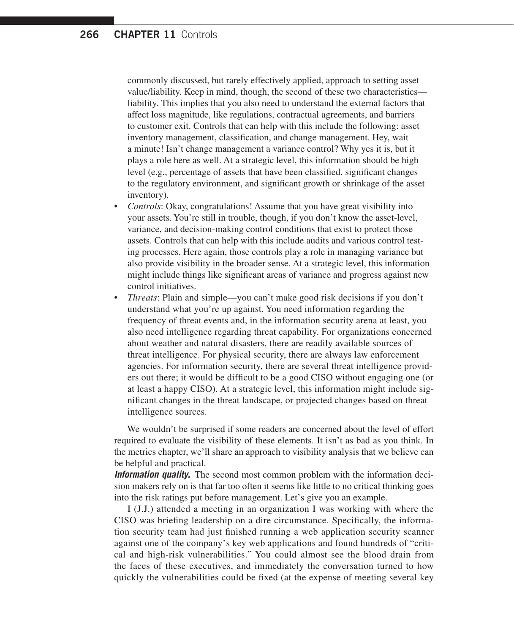commonly discussed, but rarely effectively applied, approach to setting asset value/liability. Keep in mind, though, the second of these two characteristics liability. This implies that you also need to understand the external factors that affect loss magnitude, like regulations, contractual agreements, and barriers to customer exit. Controls that can help with this include the following: asset inventory management, classification, and change management. Hey, wait a minute! Isn't change management a variance control? Why yes it is, but it plays a role here as well. At a strategic level, this information should be high level (e.g., percentage of assets that have been classified, significant changes to the regulatory environment, and significant growth or shrinkage of the asset inventory).

- *Controls*: Okay, congratulations! Assume that you have great visibility into your assets. You're still in trouble, though, if you don't know the asset-level, variance, and decision-making control conditions that exist to protect those assets. Controls that can help with this include audits and various control testing processes. Here again, those controls play a role in managing variance but also provide visibility in the broader sense. At a strategic level, this information might include things like significant areas of variance and progress against new control initiatives.
- *Threats*: Plain and simple—you can't make good risk decisions if you don't understand what you're up against. You need information regarding the frequency of threat events and, in the information security arena at least, you also need intelligence regarding threat capability. For organizations concerned about weather and natural disasters, there are readily available sources of threat intelligence. For physical security, there are always law enforcement agencies. For information security, there are several threat intelligence providers out there; it would be difficult to be a good CISO without engaging one (or at least a happy CISO). At a strategic level, this information might include significant changes in the threat landscape, or projected changes based on threat intelligence sources.

We wouldn't be surprised if some readers are concerned about the level of effort required to evaluate the visibility of these elements. It isn't as bad as you think. In the metrics chapter, we'll share an approach to visibility analysis that we believe can be helpful and practical.

**Information quality.** The second most common problem with the information decision makers rely on is that far too often it seems like little to no critical thinking goes into the risk ratings put before management. Let's give you an example.

I (J.J.) attended a meeting in an organization I was working with where the CISO was briefing leadership on a dire circumstance. Specifically, the information security team had just finished running a web application security scanner against one of the company's key web applications and found hundreds of "critical and high-risk vulnerabilities." You could almost see the blood drain from the faces of these executives, and immediately the conversation turned to how quickly the vulnerabilities could be fixed (at the expense of meeting several key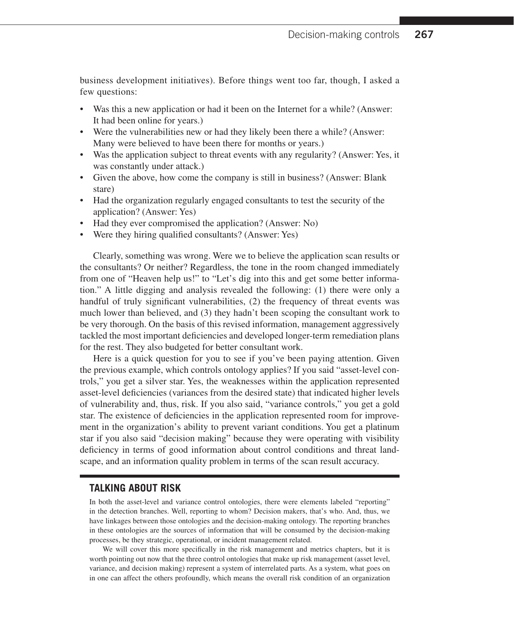business development initiatives). Before things went too far, though, I asked a few questions:

- Was this a new application or had it been on the Internet for a while? (Answer: It had been online for years.)
- Were the vulnerabilities new or had they likely been there a while? (Answer: Many were believed to have been there for months or years.)
- Was the application subject to threat events with any regularity? (Answer: Yes, it was constantly under attack.)
- Given the above, how come the company is still in business? (Answer: Blank stare)
- Had the organization regularly engaged consultants to test the security of the application? (Answer: Yes)
- Had they ever compromised the application? (Answer: No)
- Were they hiring qualified consultants? (Answer: Yes)

Clearly, something was wrong. Were we to believe the application scan results or the consultants? Or neither? Regardless, the tone in the room changed immediately from one of "Heaven help us!" to "Let's dig into this and get some better information." A little digging and analysis revealed the following: (1) there were only a handful of truly significant vulnerabilities, (2) the frequency of threat events was much lower than believed, and (3) they hadn't been scoping the consultant work to be very thorough. On the basis of this revised information, management aggressively tackled the most important deficiencies and developed longer-term remediation plans for the rest. They also budgeted for better consultant work.

Here is a quick question for you to see if you've been paying attention. Given the previous example, which controls ontology applies? If you said "asset-level controls," you get a silver star. Yes, the weaknesses within the application represented asset-level deficiencies (variances from the desired state) that indicated higher levels of vulnerability and, thus, risk. If you also said, "variance controls," you get a gold star. The existence of deficiencies in the application represented room for improvement in the organization's ability to prevent variant conditions. You get a platinum star if you also said "decision making" because they were operating with visibility deficiency in terms of good information about control conditions and threat landscape, and an information quality problem in terms of the scan result accuracy.

### **TALKING ABOUT RISK**

In both the asset-level and variance control ontologies, there were elements labeled "reporting" in the detection branches. Well, reporting to whom? Decision makers, that's who. And, thus, we have linkages between those ontologies and the decision-making ontology. The reporting branches in these ontologies are the sources of information that will be consumed by the decision-making processes, be they strategic, operational, or incident management related.

We will cover this more specifically in the risk management and metrics chapters, but it is worth pointing out now that the three control ontologies that make up risk management (asset level, variance, and decision making) represent a system of interrelated parts. As a system, what goes on in one can affect the others profoundly, which means the overall risk condition of an organization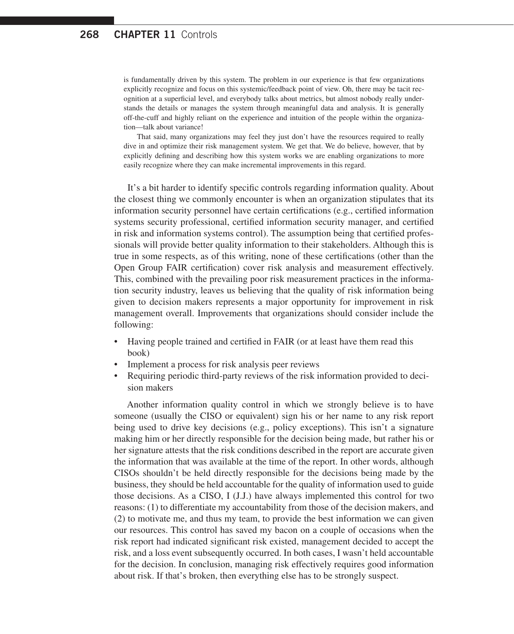is fundamentally driven by this system. The problem in our experience is that few organizations explicitly recognize and focus on this systemic/feedback point of view. Oh, there may be tacit recognition at a superficial level, and everybody talks about metrics, but almost nobody really understands the details or manages the system through meaningful data and analysis. It is generally off-the-cuff and highly reliant on the experience and intuition of the people within the organization—talk about variance!

That said, many organizations may feel they just don't have the resources required to really dive in and optimize their risk management system. We get that. We do believe, however, that by explicitly defining and describing how this system works we are enabling organizations to more easily recognize where they can make incremental improvements in this regard.

It's a bit harder to identify specific controls regarding information quality. About the closest thing we commonly encounter is when an organization stipulates that its information security personnel have certain certifications (e.g., certified information systems security professional, certified information security manager, and certified in risk and information systems control). The assumption being that certified professionals will provide better quality information to their stakeholders. Although this is true in some respects, as of this writing, none of these certifications (other than the Open Group FAIR certification) cover risk analysis and measurement effectively. This, combined with the prevailing poor risk measurement practices in the information security industry, leaves us believing that the quality of risk information being given to decision makers represents a major opportunity for improvement in risk management overall. Improvements that organizations should consider include the following:

- Having people trained and certified in FAIR (or at least have them read this book)
- Implement a process for risk analysis peer reviews
- Requiring periodic third-party reviews of the risk information provided to decision makers

Another information quality control in which we strongly believe is to have someone (usually the CISO or equivalent) sign his or her name to any risk report being used to drive key decisions (e.g., policy exceptions). This isn't a signature making him or her directly responsible for the decision being made, but rather his or her signature attests that the risk conditions described in the report are accurate given the information that was available at the time of the report. In other words, although CISOs shouldn't be held directly responsible for the decisions being made by the business, they should be held accountable for the quality of information used to guide those decisions. As a CISO, I (J.J.) have always implemented this control for two reasons: (1) to differentiate my accountability from those of the decision makers, and (2) to motivate me, and thus my team, to provide the best information we can given our resources. This control has saved my bacon on a couple of occasions when the risk report had indicated significant risk existed, management decided to accept the risk, and a loss event subsequently occurred. In both cases, I wasn't held accountable for the decision. In conclusion, managing risk effectively requires good information about risk. If that's broken, then everything else has to be strongly suspect.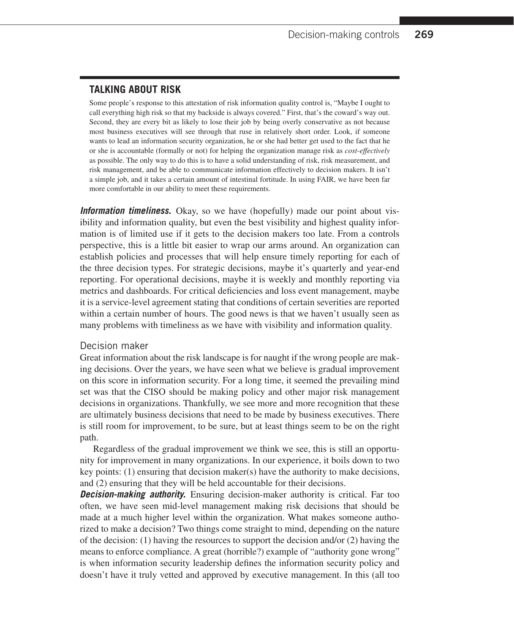# **TALKING ABOUT RISK**

Some people's response to this attestation of risk information quality control is, "Maybe I ought to call everything high risk so that my backside is always covered." First, that's the coward's way out. Second, they are every bit as likely to lose their job by being overly conservative as not because most business executives will see through that ruse in relatively short order. Look, if someone wants to lead an information security organization, he or she had better get used to the fact that he or she is accountable (formally or not) for helping the organization manage risk as *cost-effectively* as possible. The only way to do this is to have a solid understanding of risk, risk measurement, and risk management, and be able to communicate information effectively to decision makers. It isn't a simple job, and it takes a certain amount of intestinal fortitude. In using FAIR, we have been far more comfortable in our ability to meet these requirements.

**Information timeliness.** Okay, so we have (hopefully) made our point about visibility and information quality, but even the best visibility and highest quality information is of limited use if it gets to the decision makers too late. From a controls perspective, this is a little bit easier to wrap our arms around. An organization can establish policies and processes that will help ensure timely reporting for each of the three decision types. For strategic decisions, maybe it's quarterly and year-end reporting. For operational decisions, maybe it is weekly and monthly reporting via metrics and dashboards. For critical deficiencies and loss event management, maybe it is a service-level agreement stating that conditions of certain severities are reported within a certain number of hours. The good news is that we haven't usually seen as many problems with timeliness as we have with visibility and information quality.

### Decision maker

Great information about the risk landscape is for naught if the wrong people are making decisions. Over the years, we have seen what we believe is gradual improvement on this score in information security. For a long time, it seemed the prevailing mind set was that the CISO should be making policy and other major risk management decisions in organizations. Thankfully, we see more and more recognition that these are ultimately business decisions that need to be made by business executives. There is still room for improvement, to be sure, but at least things seem to be on the right path.

Regardless of the gradual improvement we think we see, this is still an opportunity for improvement in many organizations. In our experience, it boils down to two key points: (1) ensuring that decision maker(s) have the authority to make decisions, and (2) ensuring that they will be held accountable for their decisions.

**Decision-making authority.** Ensuring decision-maker authority is critical. Far too often, we have seen mid-level management making risk decisions that should be made at a much higher level within the organization. What makes someone authorized to make a decision? Two things come straight to mind, depending on the nature of the decision: (1) having the resources to support the decision and/or (2) having the means to enforce compliance. A great (horrible?) example of "authority gone wrong" is when information security leadership defines the information security policy and doesn't have it truly vetted and approved by executive management. In this (all too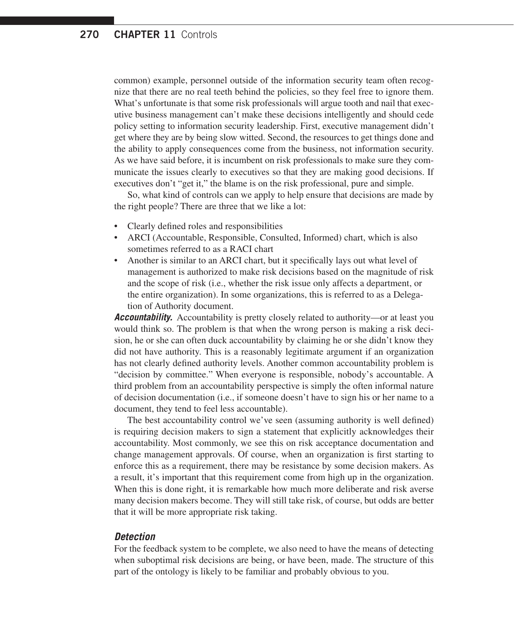common) example, personnel outside of the information security team often recognize that there are no real teeth behind the policies, so they feel free to ignore them. What's unfortunate is that some risk professionals will argue tooth and nail that executive business management can't make these decisions intelligently and should cede policy setting to information security leadership. First, executive management didn't get where they are by being slow witted. Second, the resources to get things done and the ability to apply consequences come from the business, not information security. As we have said before, it is incumbent on risk professionals to make sure they communicate the issues clearly to executives so that they are making good decisions. If executives don't "get it," the blame is on the risk professional, pure and simple.

So, what kind of controls can we apply to help ensure that decisions are made by the right people? There are three that we like a lot:

- Clearly defined roles and responsibilities
- ARCI (Accountable, Responsible, Consulted, Informed) chart, which is also sometimes referred to as a RACI chart
- Another is similar to an ARCI chart, but it specifically lays out what level of management is authorized to make risk decisions based on the magnitude of risk and the scope of risk (i.e., whether the risk issue only affects a department, or the entire organization). In some organizations, this is referred to as a Delegation of Authority document.

**Accountability.** Accountability is pretty closely related to authority—or at least you would think so. The problem is that when the wrong person is making a risk decision, he or she can often duck accountability by claiming he or she didn't know they did not have authority. This is a reasonably legitimate argument if an organization has not clearly defined authority levels. Another common accountability problem is "decision by committee." When everyone is responsible, nobody's accountable. A third problem from an accountability perspective is simply the often informal nature of decision documentation (i.e., if someone doesn't have to sign his or her name to a document, they tend to feel less accountable).

The best accountability control we've seen (assuming authority is well defined) is requiring decision makers to sign a statement that explicitly acknowledges their accountability. Most commonly, we see this on risk acceptance documentation and change management approvals. Of course, when an organization is first starting to enforce this as a requirement, there may be resistance by some decision makers. As a result, it's important that this requirement come from high up in the organization. When this is done right, it is remarkable how much more deliberate and risk averse many decision makers become. They will still take risk, of course, but odds are better that it will be more appropriate risk taking.

### **Detection**

For the feedback system to be complete, we also need to have the means of detecting when suboptimal risk decisions are being, or have been, made. The structure of this part of the ontology is likely to be familiar and probably obvious to you.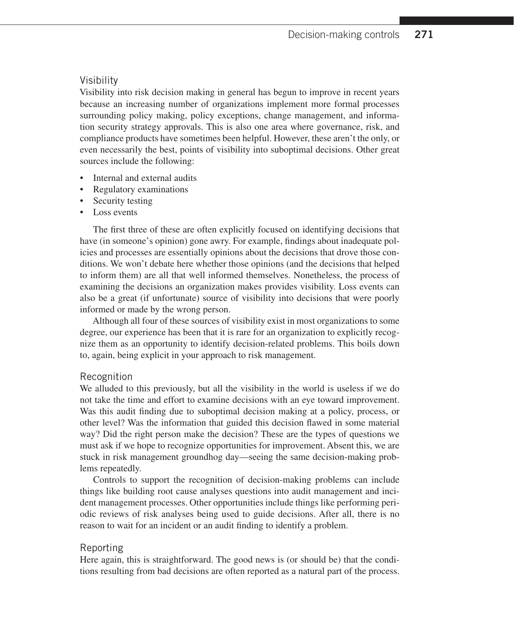### Visibility

Visibility into risk decision making in general has begun to improve in recent years because an increasing number of organizations implement more formal processes surrounding policy making, policy exceptions, change management, and information security strategy approvals. This is also one area where governance, risk, and compliance products have sometimes been helpful. However, these aren't the only, or even necessarily the best, points of visibility into suboptimal decisions. Other great sources include the following:

- Internal and external audits
- Regulatory examinations
- Security testing
- Loss events

The first three of these are often explicitly focused on identifying decisions that have (in someone's opinion) gone awry. For example, findings about inadequate policies and processes are essentially opinions about the decisions that drove those conditions. We won't debate here whether those opinions (and the decisions that helped to inform them) are all that well informed themselves. Nonetheless, the process of examining the decisions an organization makes provides visibility. Loss events can also be a great (if unfortunate) source of visibility into decisions that were poorly informed or made by the wrong person.

Although all four of these sources of visibility exist in most organizations to some degree, our experience has been that it is rare for an organization to explicitly recognize them as an opportunity to identify decision-related problems. This boils down to, again, being explicit in your approach to risk management.

### Recognition

We alluded to this previously, but all the visibility in the world is useless if we do not take the time and effort to examine decisions with an eye toward improvement. Was this audit finding due to suboptimal decision making at a policy, process, or other level? Was the information that guided this decision flawed in some material way? Did the right person make the decision? These are the types of questions we must ask if we hope to recognize opportunities for improvement. Absent this, we are stuck in risk management groundhog day—seeing the same decision-making problems repeatedly.

Controls to support the recognition of decision-making problems can include things like building root cause analyses questions into audit management and incident management processes. Other opportunities include things like performing periodic reviews of risk analyses being used to guide decisions. After all, there is no reason to wait for an incident or an audit finding to identify a problem.

### Reporting

Here again, this is straightforward. The good news is (or should be) that the conditions resulting from bad decisions are often reported as a natural part of the process.